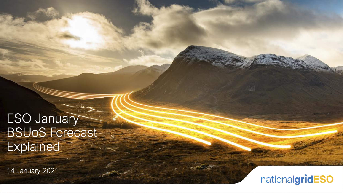# **ESO January** BSUoS Forecast **Explained**

14 January 2021